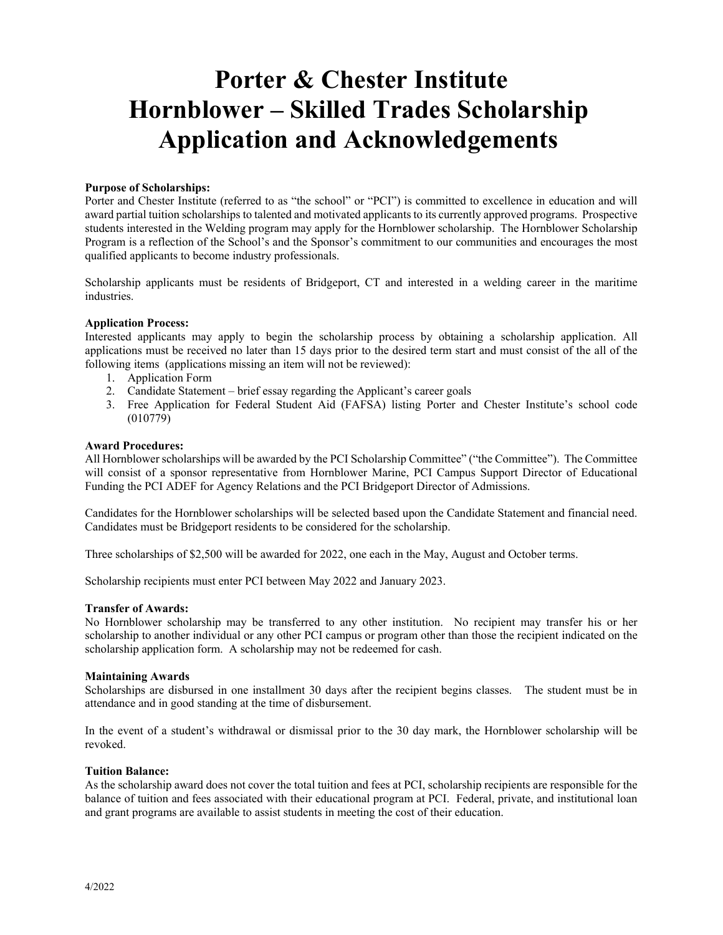## **Porter & Chester Institute Hornblower – Skilled Trades Scholarship Application and Acknowledgements**

#### **Purpose of Scholarships:**

Porter and Chester Institute (referred to as "the school" or "PCI") is committed to excellence in education and will award partial tuition scholarships to talented and motivated applicants to its currently approved programs. Prospective students interested in the Welding program may apply for the Hornblower scholarship. The Hornblower Scholarship Program is a reflection of the School's and the Sponsor's commitment to our communities and encourages the most qualified applicants to become industry professionals.

Scholarship applicants must be residents of Bridgeport, CT and interested in a welding career in the maritime industries.

#### **Application Process:**

Interested applicants may apply to begin the scholarship process by obtaining a scholarship application. All applications must be received no later than 15 days prior to the desired term start and must consist of the all of the following items (applications missing an item will not be reviewed):

- 1. Application Form
- 2. Candidate Statement brief essay regarding the Applicant's career goals
- 3. Free Application for Federal Student Aid (FAFSA) listing Porter and Chester Institute's school code (010779)

#### **Award Procedures:**

All Hornblower scholarships will be awarded by the PCI Scholarship Committee" ("the Committee"). The Committee will consist of a sponsor representative from Hornblower Marine, PCI Campus Support Director of Educational Funding the PCI ADEF for Agency Relations and the PCI Bridgeport Director of Admissions.

Candidates for the Hornblower scholarships will be selected based upon the Candidate Statement and financial need. Candidates must be Bridgeport residents to be considered for the scholarship.

Three scholarships of \$2,500 will be awarded for 2022, one each in the May, August and October terms.

Scholarship recipients must enter PCI between May 2022 and January 2023.

#### **Transfer of Awards:**

No Hornblower scholarship may be transferred to any other institution. No recipient may transfer his or her scholarship to another individual or any other PCI campus or program other than those the recipient indicated on the scholarship application form. A scholarship may not be redeemed for cash.

#### **Maintaining Awards**

Scholarships are disbursed in one installment 30 days after the recipient begins classes. The student must be in attendance and in good standing at the time of disbursement.

In the event of a student's withdrawal or dismissal prior to the 30 day mark, the Hornblower scholarship will be revoked.

#### **Tuition Balance:**

As the scholarship award does not cover the total tuition and fees at PCI, scholarship recipients are responsible for the balance of tuition and fees associated with their educational program at PCI. Federal, private, and institutional loan and grant programs are available to assist students in meeting the cost of their education.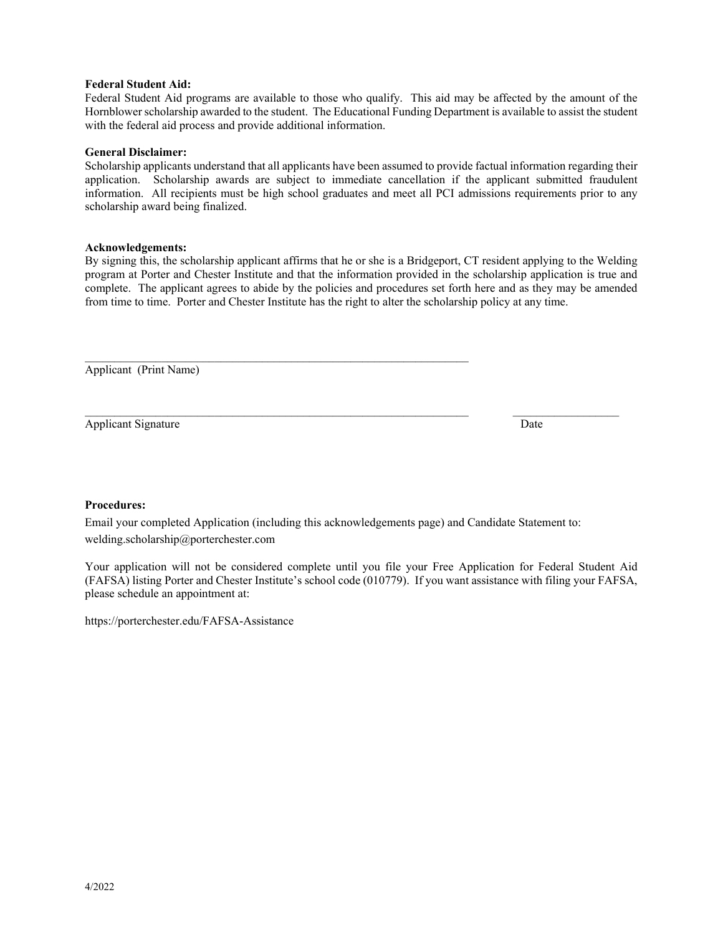#### **Federal Student Aid:**

Federal Student Aid programs are available to those who qualify. This aid may be affected by the amount of the Hornblower scholarship awarded to the student. The Educational Funding Department is available to assist the student with the federal aid process and provide additional information.

#### **General Disclaimer:**

Scholarship applicants understand that all applicants have been assumed to provide factual information regarding their application. Scholarship awards are subject to immediate cancellation if the applicant submitted fraudulent information. All recipients must be high school graduates and meet all PCI admissions requirements prior to any scholarship award being finalized.

#### **Acknowledgements:**

By signing this, the scholarship applicant affirms that he or she is a Bridgeport, CT resident applying to the Welding program at Porter and Chester Institute and that the information provided in the scholarship application is true and complete. The applicant agrees to abide by the policies and procedures set forth here and as they may be amended from time to time. Porter and Chester Institute has the right to alter the scholarship policy at any time.

Applicant (Print Name)

Applicant Signature Date News, 2008. The Second School and School and School and School and School and School and School and School and School and School and School and School and School and School and School and School an

#### **Procedures:**

Email your completed Application (including this acknowledgements page) and Candidate Statement to: welding.scholarship@porterchester.com

 $\mathcal{L}_\text{max} = \mathcal{L}_\text{max} = \mathcal{L}_\text{max} = \mathcal{L}_\text{max} = \mathcal{L}_\text{max} = \mathcal{L}_\text{max} = \mathcal{L}_\text{max} = \mathcal{L}_\text{max} = \mathcal{L}_\text{max} = \mathcal{L}_\text{max} = \mathcal{L}_\text{max} = \mathcal{L}_\text{max} = \mathcal{L}_\text{max} = \mathcal{L}_\text{max} = \mathcal{L}_\text{max} = \mathcal{L}_\text{max} = \mathcal{L}_\text{max} = \mathcal{L}_\text{max} = \mathcal{$ 

Your application will not be considered complete until you file your Free Application for Federal Student Aid (FAFSA) listing Porter and Chester Institute's school code (010779). If you want assistance with filing your FAFSA, please schedule an appointment at:

https://porterchester.edu/FAFSA-Assistance